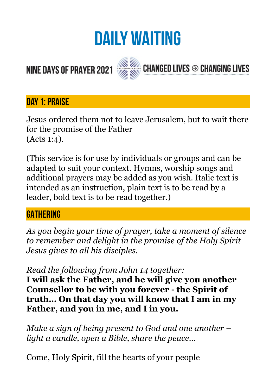# **DAILY WAITING**

# **NINE DAYS OF PRAYER 2021**



# **CHANGED LIVES <sup>→</sup> CHANGING LIVES**

# **Day 1: PRAISE**

Jesus ordered them not to leave Jerusalem, but to wait there for the promise of the Father (Acts 1:4).

(This service is for use by individuals or groups and can be adapted to suit your context. Hymns, worship songs and additional prayers may be added as you wish. Italic text is intended as an instruction, plain text is to be read by a leader, bold text is to be read together.)

## **GATHERING**

*As you begin your time of prayer, take a moment of silence to remember and delight in the promise of the Holy Spirit Jesus gives to all his disciples.* 

#### *Read the following from John 14 together:*

**I will ask the Father, and he will give you another Counsellor to be with you forever - the Spirit of truth… On that day you will know that I am in my Father, and you in me, and I in you.** 

*Make a sign of being present to God and one another – light a candle, open a Bible, share the peace…* 

Come, Holy Spirit, fill the hearts of your people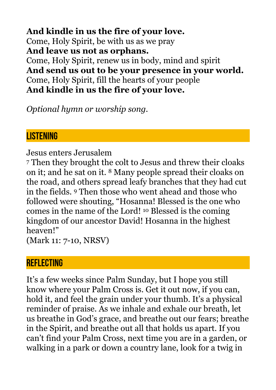**And kindle in us the fire of your love.**  Come, Holy Spirit, be with us as we pray **And leave us not as orphans.**  Come, Holy Spirit, renew us in body, mind and spirit **And send us out to be your presence in your world.**  Come, Holy Spirit, fill the hearts of your people **And kindle in us the fire of your love.** 

*Optional hymn or worship song.* 

#### **LISTENING**

Jesus enters Jerusalem

7 Then they brought the colt to Jesus and threw their cloaks on it; and he sat on it. 8 Many people spread their cloaks on the road, and others spread leafy branches that they had cut in the fields. 9 Then those who went ahead and those who followed were shouting, "Hosanna! Blessed is the one who comes in the name of the Lord! 10 Blessed is the coming kingdom of our ancestor David! Hosanna in the highest heaven!"

(Mark 11: 7-10, NRSV)

# **REFLECTING**

It's a few weeks since Palm Sunday, but I hope you still know where your Palm Cross is. Get it out now, if you can, hold it, and feel the grain under your thumb. It's a physical reminder of praise. As we inhale and exhale our breath, let us breathe in God's grace, and breathe out our fears; breathe in the Spirit, and breathe out all that holds us apart. If you can't find your Palm Cross, next time you are in a garden, or walking in a park or down a country lane, look for a twig in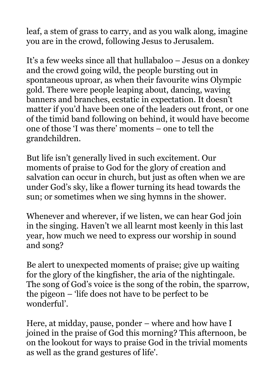leaf, a stem of grass to carry, and as you walk along, imagine you are in the crowd, following Jesus to Jerusalem.

It's a few weeks since all that hullabaloo – Jesus on a donkey and the crowd going wild, the people bursting out in spontaneous uproar, as when their favourite wins Olympic gold. There were people leaping about, dancing, waving banners and branches, ecstatic in expectation. It doesn't matter if you'd have been one of the leaders out front, or one of the timid band following on behind, it would have become one of those 'I was there' moments – one to tell the grandchildren.

But life isn't generally lived in such excitement. Our moments of praise to God for the glory of creation and salvation can occur in church, but just as often when we are under God's sky, like a flower turning its head towards the sun; or sometimes when we sing hymns in the shower.

Whenever and wherever, if we listen, we can hear God join in the singing. Haven't we all learnt most keenly in this last year, how much we need to express our worship in sound and song?

Be alert to unexpected moments of praise; give up waiting for the glory of the kingfisher, the aria of the nightingale. The song of God's voice is the song of the robin, the sparrow, the pigeon – 'life does not have to be perfect to be wonderful'.

Here, at midday, pause, ponder – where and how have I joined in the praise of God this morning? This afternoon, be on the lookout for ways to praise God in the trivial moments as well as the grand gestures of life'.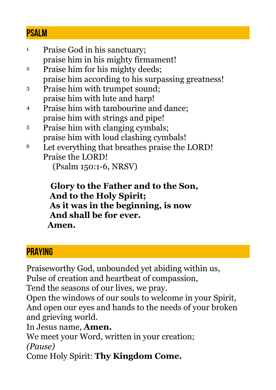#### **Psalm**

1 Praise God in his sanctuary; praise him in his mighty firmament! 2 Praise him for his mighty deeds; praise him according to his surpassing greatness! 3 Praise him with trumpet sound; praise him with lute and harp! 4 Praise him with tambourine and dance; praise him with strings and pipe! 5 Praise him with clanging cymbals; praise him with loud clashing cymbals! 6 Let everything that breathes praise the LORD!

Praise the LORD! (Psalm 150:1-6, NRSV)

 **Glory to the Father and to the Son, And to the Holy Spirit; As it was in the beginning, is now And shall be for ever. Amen.** 

## **PRAYING**

Praiseworthy God, unbounded yet abiding within us, Pulse of creation and heartbeat of compassion,

Tend the seasons of our lives, we pray.

Open the windows of our souls to welcome in your Spirit, And open our eyes and hands to the needs of your broken and grieving world.

In Jesus name, **Amen.** 

We meet your Word, written in your creation; *(Pause)* 

Come Holy Spirit: **Thy Kingdom Come.**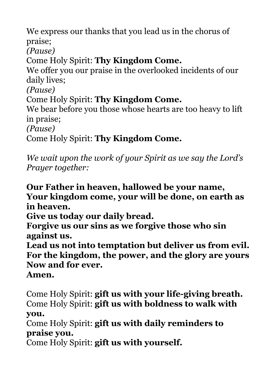We express our thanks that you lead us in the chorus of praise; *(Pause)* Come Holy Spirit: **Thy Kingdom Come.** We offer you our praise in the overlooked incidents of our daily lives; *(Pause)* Come Holy Spirit: **Thy Kingdom Come.** We bear before you those whose hearts are too heavy to lift in praise; *(Pause)* Come Holy Spirit: **Thy Kingdom Come.**

*We wait upon the work of your Spirit as we say the Lord's Prayer together:* 

**Our Father in heaven, hallowed be your name, Your kingdom come, your will be done, on earth as in heaven.** 

**Give us today our daily bread.** 

**Forgive us our sins as we forgive those who sin against us.** 

**Lead us not into temptation but deliver us from evil. For the kingdom, the power, and the glory are yours Now and for ever.** 

#### **Amen.**

Come Holy Spirit: **gift us with your life-giving breath.** Come Holy Spirit: **gift us with boldness to walk with you.**

Come Holy Spirit: **gift us with daily reminders to praise you.**

Come Holy Spirit: **gift us with yourself.**